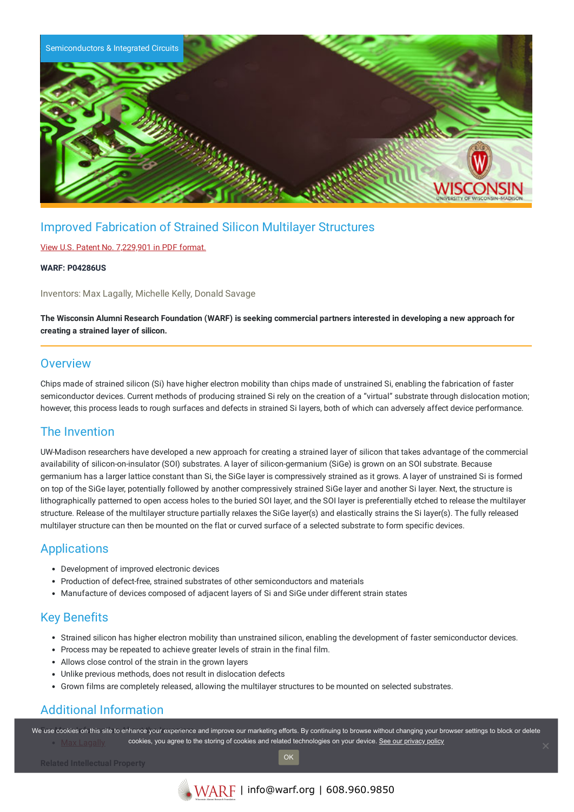

# Improved Fabrication of Strained Silicon Multilayer Structures

#### View U.S. Patent No. [7,229,901](https://www.warf.org/wp-content/uploads/technologies/ipstatus/P04286US.PDF) in PDF format.

#### **WARF: P04286US**

Inventors: Max Lagally, Michelle Kelly, Donald Savage

The Wisconsin Alumni Research Foundation (WARF) is seeking commercial partners interested in developing a new approach for **creating a strained layer of silicon.**

### **Overview**

Chips made of strained silicon (Si) have higher electron mobility than chips made of unstrained Si, enabling the fabrication of faster semiconductor devices. Current methods of producing strained Si rely on the creation of a "virtual" substrate through dislocation motion; however, this process leads to rough surfaces and defects in strained Si layers, both of which can adversely affect device performance.

## The Invention

UW-Madison researchers have developed a new approach for creating a strained layer of silicon that takes advantage of the commercial availability of silicon-on-insulator (SOI) substrates. A layer of silicon-germanium (SiGe) is grown on an SOI substrate. Because germanium has a larger lattice constant than Si, the SiGe layer is compressively strained as it grows. A layer of unstrained Si is formed on top of the SiGe layer, potentially followed by another compressively strained SiGe layer and another Si layer. Next, the structure is lithographically patterned to open access holes to the buried SOI layer, and the SOI layer is preferentially etched to release the multilayer structure. Release of the multilayer structure partially relaxes the SiGe layer(s) and elastically strains the Si layer(s). The fully released multilayer structure can then be mounted on the flat or curved surface of a selected substrate to form specific devices.

#### Applications

- Development of improved electronic devices
- Production of defect-free, strained substrates of other semiconductors and materials
- Manufacture of devices composed of adjacent layers of Si and SiGe under different strain states

## Key Benefits

- Strained silicon has higher electron mobility than unstrained silicon, enabling the development of faster semiconductor devices.
- Process may be repeated to achieve greater levels of strain in the final film.
- Allows close control of the strain in the grown layers
- Unlike previous methods, does not result in dislocation defects
- Grown films are completely released, allowing the multilayer structures to be mounted on selected substrates.

# Additional Information

We use cookies on this site to enhance your experience and improve our marketing efforts. By continuing to browse without changing your browser settings to block or delete cookies, you agree to the storing of cookies and related technologies on your device. [See our privacy policy](https://www.warf.org/privacy-policy/)

OK

**Related Intellectual Property**